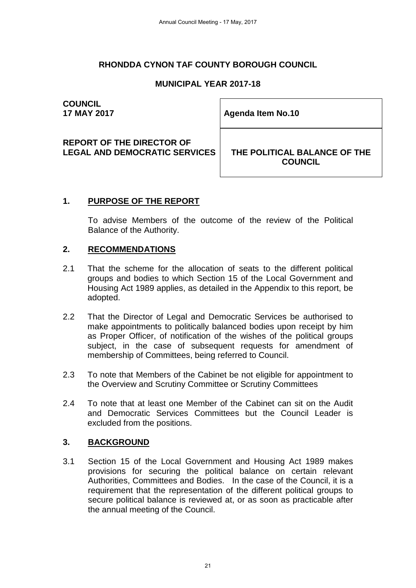#### **RHONDDA CYNON TAF COUNTY BOROUGH COUNCIL**

# **MUNICIPAL YEAR 2017-18**

# **COUNCIL**

**Agenda Item No.10** 

**REPORT OF THE DIRECTOR OF**  LEGAL AND DEMOCRATIC SERVICES **THE POLITICAL BALANCE OF THE** 

**COUNCIL**

#### **1. PURPOSE OF THE REPORT**

To advise Members of the outcome of the review of the Political Balance of the Authority.

#### **2. RECOMMENDATIONS**

- 2.1 That the scheme for the allocation of seats to the different political groups and bodies to which Section 15 of the Local Government and Housing Act 1989 applies, as detailed in the Appendix to this report, be adopted.
- 2.2 That the Director of Legal and Democratic Services be authorised to make appointments to politically balanced bodies upon receipt by him as Proper Officer, of notification of the wishes of the political groups subject, in the case of subsequent requests for amendment of membership of Committees, being referred to Council.
- 2.3 To note that Members of the Cabinet be not eligible for appointment to the Overview and Scrutiny Committee or Scrutiny Committees
- 2.4 To note that at least one Member of the Cabinet can sit on the Audit and Democratic Services Committees but the Council Leader is excluded from the positions.

#### **3. BACKGROUND**

3.1 Section 15 of the Local Government and Housing Act 1989 makes provisions for securing the political balance on certain relevant Authorities, Committees and Bodies. In the case of the Council, it is a requirement that the representation of the different political groups to secure political balance is reviewed at, or as soon as practicable after the annual meeting of the Council.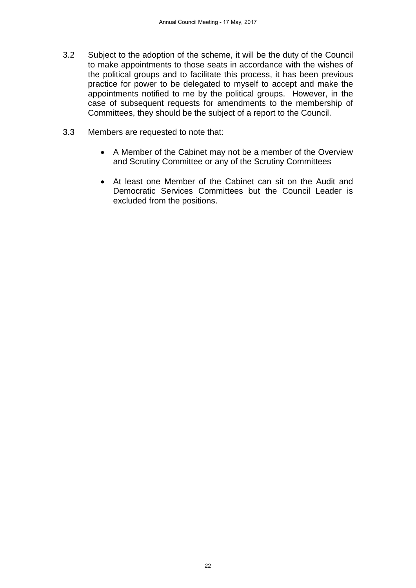- 3.2 Subject to the adoption of the scheme, it will be the duty of the Council to make appointments to those seats in accordance with the wishes of the political groups and to facilitate this process, it has been previous practice for power to be delegated to myself to accept and make the appointments notified to me by the political groups. However, in the case of subsequent requests for amendments to the membership of Committees, they should be the subject of a report to the Council.
- 3.3 Members are requested to note that:
	- A Member of the Cabinet may not be a member of the Overview and Scrutiny Committee or any of the Scrutiny Committees
	- At least one Member of the Cabinet can sit on the Audit and Democratic Services Committees but the Council Leader is excluded from the positions.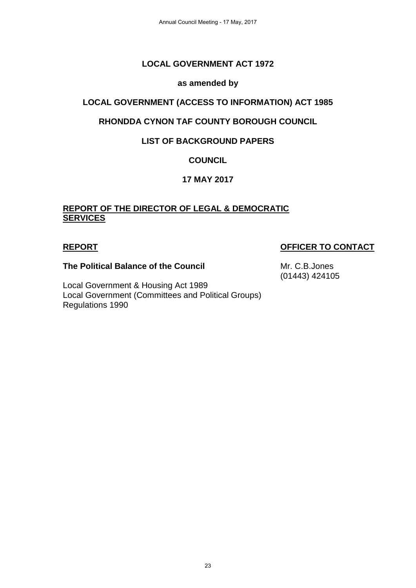# **LOCAL GOVERNMENT ACT 1972**

### **as amended by**

# **LOCAL GOVERNMENT (ACCESS TO INFORMATION) ACT 1985**

# **RHONDDA CYNON TAF COUNTY BOROUGH COUNCIL**

# **LIST OF BACKGROUND PAPERS**

# **COUNCIL**

# **17 MAY 2017**

### **REPORT OF THE DIRECTOR OF LEGAL & DEMOCRATIC SERVICES**

# **REPORT OFFICER TO CONTACT**

**The Political Balance of the Council**

Mr. C.B.Jones (01443) 424105

Local Government & Housing Act 1989 Local Government (Committees and Political Groups) Regulations 1990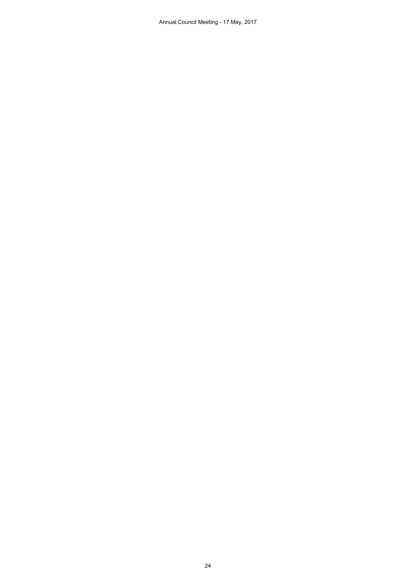Annual Council Meeting - 17 May, 2017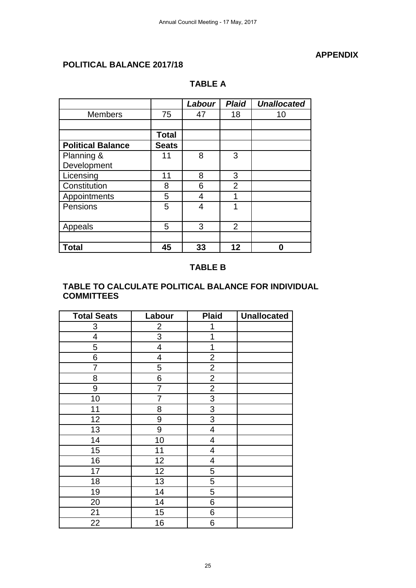#### **APPENDIX**

#### **POLITICAL BALANCE 2017/18**

|                          |              | Labour | <b>Plaid</b>   | <b>Unallocated</b> |
|--------------------------|--------------|--------|----------------|--------------------|
| <b>Members</b>           | 75           | 47     | 18             | 10                 |
|                          |              |        |                |                    |
|                          | <b>Total</b> |        |                |                    |
| <b>Political Balance</b> | <b>Seats</b> |        |                |                    |
| Planning &               | 11           | 8      | 3              |                    |
| Development              |              |        |                |                    |
| Licensing                | 11           | 8      | 3              |                    |
| Constitution             | 8            | 6      | $\overline{2}$ |                    |
| Appointments             | 5            | 4      | 1              |                    |
| Pensions                 | 5            | 4      | 1              |                    |
|                          |              |        |                |                    |
| Appeals                  | 5            | 3      | $\overline{2}$ |                    |
|                          |              |        |                |                    |
| <b>Total</b>             | 45           | 33     | 12             |                    |

#### **TABLE A**

#### **TABLE B**

# **TABLE TO CALCULATE POLITICAL BALANCE FOR INDIVIDUAL COMMITTEES**

| <b>Total Seats</b> | Labour         | <b>Plaid</b>   | <b>Unallocated</b> |
|--------------------|----------------|----------------|--------------------|
| 3                  | $\overline{c}$ | 1              |                    |
| 4                  | 3              | 1              |                    |
| 5                  | 4              | 1              |                    |
| 6                  | 4              | $\overline{2}$ |                    |
| 7                  | 5              | $\overline{2}$ |                    |
| 8                  | 6              | $\overline{2}$ |                    |
| 9                  | 7              | $\overline{2}$ |                    |
| 10                 | 7              | 3              |                    |
| 11                 | 8              | 3              |                    |
| 12                 | 9              | 3              |                    |
| 13                 | 9              | 4              |                    |
| 14                 | 10             | 4              |                    |
| 15                 | 11             | 4              |                    |
| 16                 | 12             | 4              |                    |
| 17                 | 12             | 5              |                    |
| 18                 | 13             | 5              |                    |
| 19                 | 14             | 5              |                    |
| 20                 | 14             | 6              |                    |
| 21                 | 15             | 6              |                    |
| 22                 | 16             | 6              |                    |